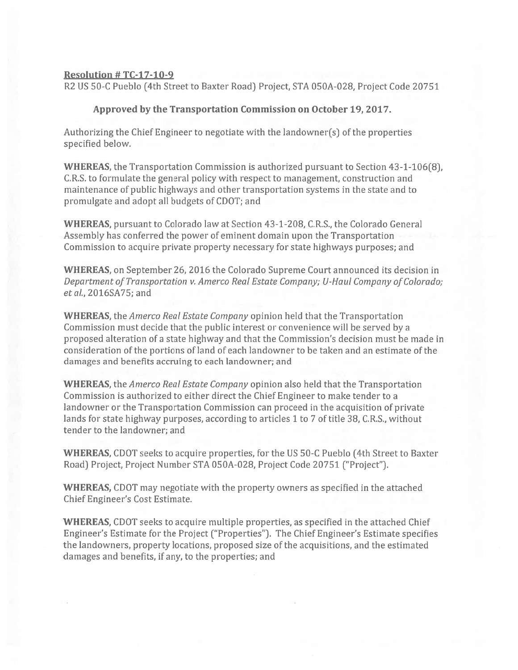## Resolution # TC-17-1O-9

R2 US 50-C Pueblo (4th Street to Baxter Road) Project, STA OSOA-028, Project Code 20751

## Approved by the Transportation Commission on October 19, 2017.

Authorizing the Chief Engineer to negotiate with the landowner(s) of the properties specified below.

WHEREAS, the Transportation Commission is authorized pursuan<sup>t</sup> to Section 43-1-106(8), C.R.S. to formulate the general policy with respec<sup>t</sup> to management, construction and maintenance of public highways and other transportation systems in the state and to promulgate and adopt all budgets of CDOT; and

WHEREAS, pursuan<sup>t</sup> to Colorado law at Section 43-1-208, C.R.S., the Colorado General Assembly has conferred the power of eminent domain upon the Transportation Commission to acquire private property necessary for state highways purposes; and

WHEREAS, on September 26, 2016 the Colorado Supreme Court announced its decision in Department of Transportation v. Amerco Real Estate Company; U-Haul Company of Colorado; etal., 2016SA75; and

WHEREAS, the Amerco Real Estate Company opinion held that the Transportation Commission must decide that the public interest or convenience will be served by <sup>a</sup> proposed alteration of <sup>a</sup> state highway and that the Commission's decision must be made in consideration of the portions of land of each landowner to be taken and an estimate of the damages and benefits accruing to each landowner; and

WHEREAS, the *Amerco Real Estate Company* opinion also held that the Transportation Commission is authorized to either direct the Chief Engineer to make tender to <sup>a</sup> landowner or the Transportation Commission can proceed in the acquisition of private lands for state highway purposes, according to articles 1 to 7 of title 38, C.R.S., without tender to the landowner; and

WHEREAS, CDOT seeks to acquire properties, for the US 50-C Pueblo (4th Street to Baxter Road) Project, Project Number STA OSOA-028, Project Code 20751 ("Project").

WHEREAS, CDOT may negotiate with the property owners as specified in the attached Chief Engineer's Cost Estimate.

WHEREAS, CDOT seeks to acquire multiple properties, as specified in the attached Chief Engineer's Estimate for the Project ("Properties"). The Chief Engineer's Estimate specifies the landowners, property locations, proposed size of the acquisitions, and the estimated damages and benefits, if any, to the properties; and